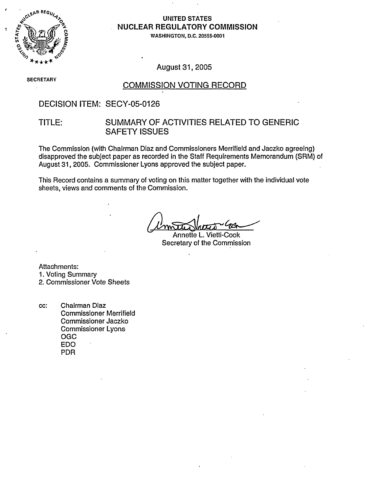

# **NUCLEAR REGULATORY COMMISSION**

**0** WASHINGTON, D.C. 20555-0001

August 31, 2005

**SECRETARY** 

#### COMMISSION VOTING RECORD

#### DECISION ITEM: SECY-05-0126

#### TITLE: SUMMARY OF ACTIVITIES RELATED TO GENERIC SAFETY ISSUES

The Commission (with Chairman Diaz and Commissioners Merrifield and Jaczko agreeing) disapproved the subject paper as recorded in the Staff Requirements Memorandum (SRM) of August 31, 2005. Commissioner Lyons approved the subject paper.

This Record contains a summary of voting on this matter together with the individual vote sheets, views and comments of the Commission.

Annette L. Vietti-Cook Secretary of the Commission

Attachments:

1. Voting Summary

2. Commissioner Vote Sheets

cc: Chairman Diaz Commissioner Merrifield Commissioner Jaczko Commissioner Lyons OGC EDO PDR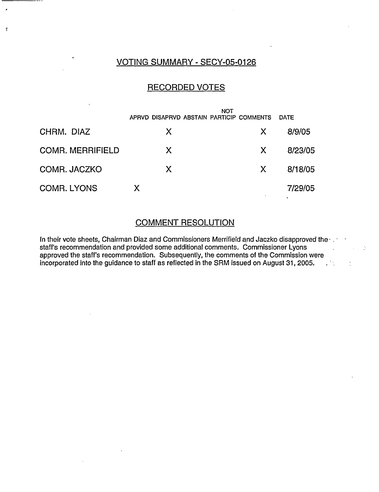#### VOTING SUMMARY - SECY-05-0126

 $\ddot{\cdot}$ 

#### RECORDED VOTES

|                         | <b>NOT</b><br>APRVD DISAPRVD ABSTAIN PARTICIP COMMENTS |    | <b>DATE</b> |
|-------------------------|--------------------------------------------------------|----|-------------|
| CHRM. DIAZ              | X.                                                     | X. | 8/9/05      |
| <b>COMR. MERRIFIELD</b> | X.                                                     | X. | 8/23/05     |
| COMR. JACZKO            | X.                                                     | X. | 8/18/05     |
| <b>COMR. LYONS</b>      | X                                                      |    | 7/29/05     |

#### COMMENT RESOLUTION

In their vote sheets, Chairman Diaz and Commissioners Merrifield and Jaczko disapproved the  $\cdot$  . staff's recommendation and provided some additional comments. Commissioner Lyons approved the staff's recommendation. Subsequently, the comments of the Commission were incorporated into the guidance to staff as reflected in the SRM issued on August 31, 2005. **.**

 $\ddot{\phi}$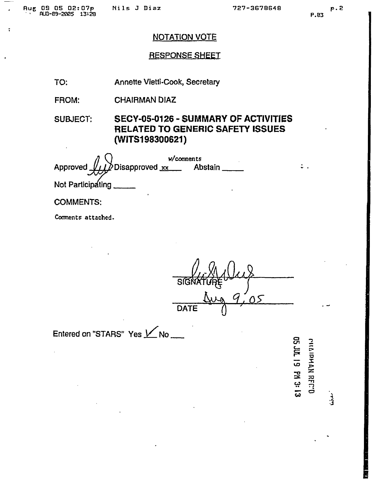$\ddot{\cdot}$ 

#### NOTATION VOTE

#### RESPONSESHEEI

TO: Annette Vietti-Cook, Secretary

FROM: **CHAIRMAN DIAZ** 

SUBJECT: SECY-05-0126 - SUMMARY OF ACTIVITIES RELATED TO GENERIC SAFETY ISSUES (WITS1 98300621)

s1 ) w/cowonents Approved  $\sqrt{1/\lambda}$  Disapproved xx Abstain Not Participating

COMMENTS:

Comnents attached.

**DATE**  $\bigcirc$ 

Entered on "STARS" Yes  $M_{\bullet}$ No

**U,** on -a w  $\frac{1}{\pi}$  $\Xi$ **T21**

.<br>فرنسه

 $\ddot{\phantom{a}}$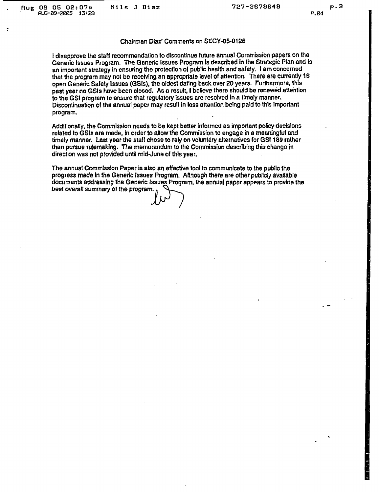#### Chairman Diaz! Comments on SECY-05-0126

i disapprove the staff recommendation to discontinue future annual Commission papers on the Generic Issues Program. The Generic Issues Program Is described In the Strategic Plan and Is an important strategy in ensuring the protection of public health and safety. I am concerned that the program may not be receiving an appropriate level of attention. There are currently 16 open Generic Safety Issues (GSIs), the oldest dating back over 20 years. Furthermore, this past year no GSIs have been closed. As a result, I believe there should be renewed attention lo the GSI program to ensure that regulatory Issues are resolved In a timely manner. Discontinuation of the annual paper may result in less attention being paid to this important program.

Additionally, the Commission needs to be kept better informed as important policy decisions related to GSIs are made, in order to allow the Commission to engage in a meaningful and timely manner. Last year the staff chose to rely on voluntary alternatives for GSI 189 rather than pursue rulemaking. The memorandum to the Commission describing this change in direction was not provided until mid-June of this year.

The annual Commission Paper is also an effective tool to communicate to the publio the progress made In the Generic Issues Program. Although there are other publicly available documents addressing the Generic Issues Program, the annual paper appears to provide the best overall summary of the program.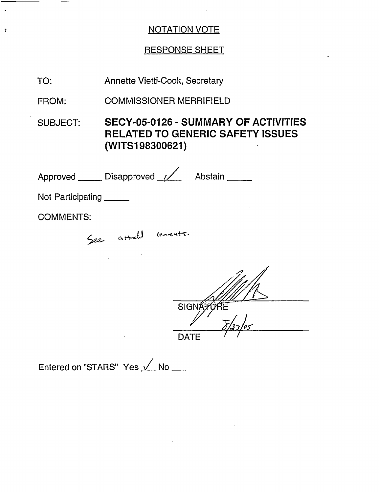## NOTATION VOTE

 $\sim 10$ 

 $\blacksquare$ 

— .

 $\mathcal{L}_{\bullet}$ 

 $\ddot{\cdot}$ 

## RESPONSE SHEET

| TO:                  | <b>Annette Vietti-Cook, Secretary</b>                                                                     |  |
|----------------------|-----------------------------------------------------------------------------------------------------------|--|
| FROM:                | <b>COMMISSIONER MERRIFIELD</b>                                                                            |  |
| <b>SUBJECT:</b>      | <b>SECY-05-0126 - SUMMARY OF ACTIVITIES</b><br><b>RELATED TO GENERIC SAFETY ISSUES</b><br>(WITS198300621) |  |
|                      | Approved ______ Disapproved ________ Abstain ______                                                       |  |
| Not Participating    |                                                                                                           |  |
| <b>COMMENTS:</b>     |                                                                                                           |  |
| See attach convents. |                                                                                                           |  |
|                      |                                                                                                           |  |
|                      | <b>SIGNATI</b>                                                                                            |  |
|                      | <b>DATE</b>                                                                                               |  |
|                      | Entered on "STARS" Yes √ No                                                                               |  |

 $\sim 10^{-10}$ 

 $\mathcal{L}^{\text{max}}_{\text{max}}$  and  $\mathcal{L}^{\text{max}}_{\text{max}}$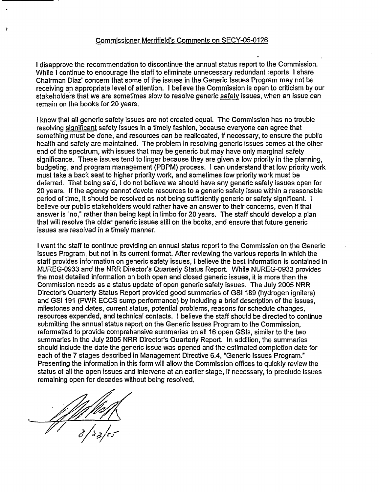I disapprove the recommendation to discontinue the annual status report to the Commission. While I continue to encourage the staff to eliminate unnecessary redundant reports, I share Chairman Diaz' concern that some of the issues in the Generic Issues Program may not be receiving an appropriate level of attention. I believe the Commission is open to criticism by our stakeholders that we are sometimes slow to resolve generic safety issues, when an issue can remain on the books for 20 years.

I know that all generic safety issues are not created equal. The Commission has no trouble resolving significant safety issues in a timely fashion, because everyone can agree that something must be done, and resources can be reallocated, if necessary, to ensure the public health and safety are maintained. The problem in resolving generic issues comes at the other end of the spectrum, with issues that may be generic but may have only marginal safety significance. These issues tend to linger because they are given a low priority in the planning, budgeting, and program management (PBPM) process. I can understand that low priority work must take a back seat to higher priority work, and sometimes low priority work must be deferred. That being said, I do not believe we should have any generic safety issues open for 20 years. If the agency cannot devote resources to a generic safety issue within a reasonable period of time, it should be resolved as not being sufficiently generic or safety significant. I believe our public stakeholders would rather have an answer to their concerns, even if that answer is "no," rather than being kept in limbo for 20 years. The staff should develop a plan that will resolve the older generic issues still on the books, and ensure that future generic issues are resolved in a timely manner.

I want the staff to continue providing an annual status report to the Commission on the Generic Issues Program, but not in its current format. After reviewing the various reports in which the staff provides information on generic safety issues, I believe the best information is contained in NUREG-0933 and the NRR Director's Quarterly Status Report. While NUREG-0933 provides the most detailed information on both open and closed generic issues, it is more than the Commission needs as a status update of open generic safety issues. The July 2005 NRR Director's Quarterly Status Report provided good summaries of GSI 189 (hydrogen igniters) and GSI 191 (PWR ECCS sump performance) by including a brief description of the issues, milestones and dates, current status, potential problems, reasons for schedule changes, resources expended, and technical contacts. I believe the staff should be directed to continue submitting the annual status report on the Generic Issues Program to the Commission, reformatted to provide comprehensive summaries on all 16 open GSIs, similar to the two summaries in the July 2005 NRR Director's Quarterly Report. In addition, the summaries should include the date the generic issue was opened and the estimated completion date for each of the 7 stages described in Management Directive 6.4, "Generic Issues Program." Presenting the information in this form will allow the Commission offices to quickly review the status of all the open issues and intervene at an earlier stage, if necessary, to preclude issues remaining open for decades without being resolved.

÷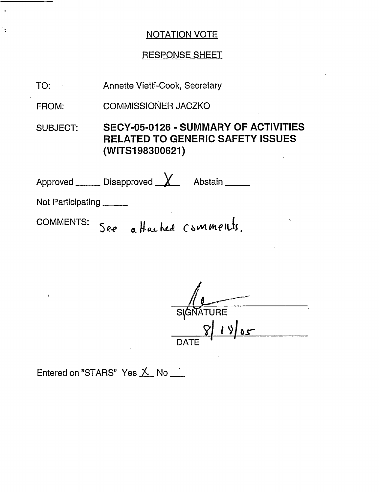### NOTATION VOTE

#### RESPONSE SHEET

Annette Vietti-Cook, Secretary TO:

COMMISSIONER JACZKO FROM:

 $\ddot{\cdot}$ 

SUBJECT: SECY-05-0126 - SUMMARY OF ACTIVITIES RELATED TO GENERIC SAFETY ISSUES (WITS1 98300621)

Approved Disapproved X Abstain Not Participating

comments: See affactule comments.

Si <u>811 9105</u> DATE

Entered on "STARS" Yes  $X$  No  $\overline{\phantom{A}}$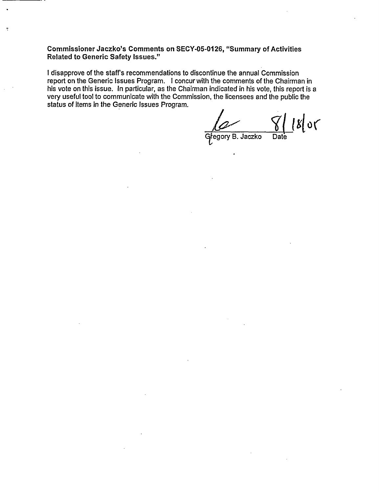**Commissioner Jaczko's Comments on SECY-05-0126,** "Summary **of Activities Related to Generic Safety Issues."**

 $\overline{z}$ 

I disapprove of the staff's recommendations to discontinue the annual Commission report on the Generic Issues Program. I concur with the comments of the Chairman in his vote on this issue. In particular, as the Chairman indicated in his vote, this report is a very useful tool to communicate with the Commission, the licensees and the public the status of items in the Generic Issues Program.

 $\frac{1}{2}$ Gregory B. Jaczko Date